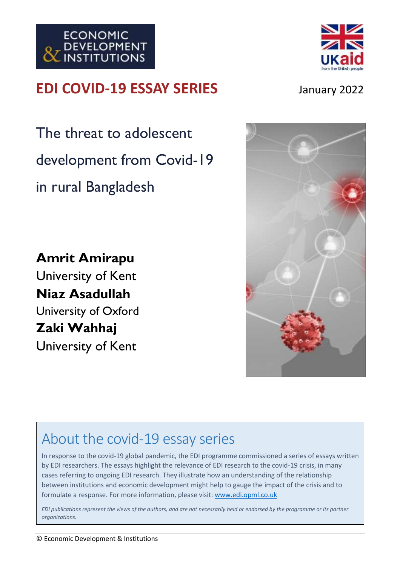





The threat to adolescent development from Covid-19 in rural Bangladesh

**Amrit Amirapu** University of Kent **Niaz Asadullah** University of Oxford **Zaki Wahhaj** University of Kent



# About the covid-19 essay series

In response to the covid-19 global pandemic, the EDI programme commissioned a series of essays written by EDI researchers. The essays highlight the relevance of EDI research to the covid-19 crisis, in many cases referring to ongoing EDI research. They illustrate how an understanding of the relationship between institutions and economic development might help to gauge the impact of the crisis and to formulate a response. For more information, please visit: [www.edi.opml.co.uk](http://www.edi.opml.co.uk/)

*EDI publications represent the views of the authors, and are not necessarily held or endorsed by the programme or its partner organizations.*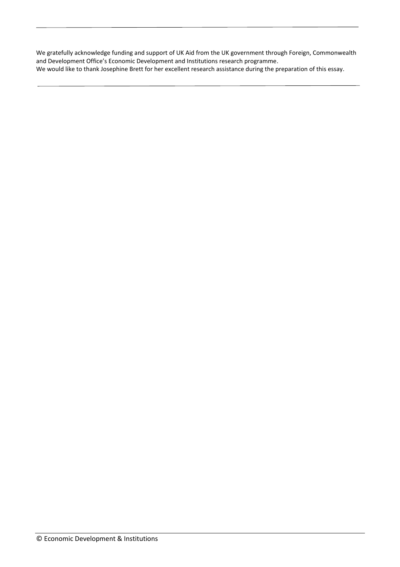We gratefully acknowledge funding and support of UK Aid from the UK government through Foreign, Commonwealth and Development Office's Economic Development and Institutions research programme. We would like to thank Josephine Brett for her excellent research assistance during the preparation of this essay.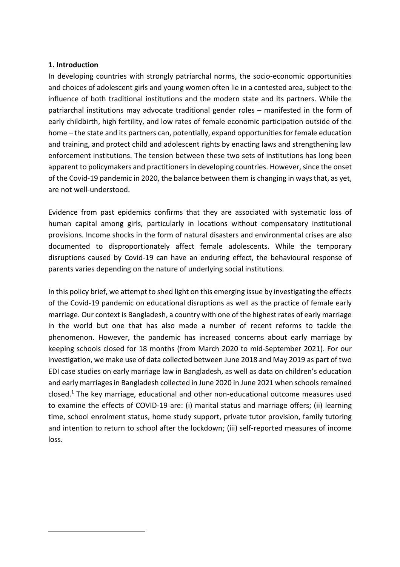#### **1. Introduction**

In developing countries with strongly patriarchal norms, the socio-economic opportunities and choices of adolescent girls and young women often lie in a contested area, subject to the influence of both traditional institutions and the modern state and its partners. While the patriarchal institutions may advocate traditional gender roles – manifested in the form of early childbirth, high fertility, and low rates of female economic participation outside of the home – the state and its partners can, potentially, expand opportunities for female education and training, and protect child and adolescent rights by enacting laws and strengthening law enforcement institutions. The tension between these two sets of institutions has long been apparent to policymakers and practitioners in developing countries. However, since the onset of the Covid-19 pandemic in 2020, the balance between them is changing in ways that, as yet, are not well-understood.

Evidence from past epidemics confirms that they are associated with systematic loss of human capital among girls, particularly in locations without compensatory institutional provisions. Income shocks in the form of natural disasters and environmental crises are also documented to disproportionately affect female adolescents. While the temporary disruptions caused by Covid-19 can have an enduring effect, the behavioural response of parents varies depending on the nature of underlying social institutions.

In this policy brief, we attempt to shed light on this emerging issue by investigating the effects of the Covid-19 pandemic on educational disruptions as well as the practice of female early marriage. Our context is Bangladesh, a country with one of the highest rates of early marriage in the world but one that has also made a number of recent reforms to tackle the phenomenon. However, the pandemic has increased concerns about early marriage by keeping schools closed for 18 months (from March 2020 to mid-September 2021). For our investigation, we make use of data collected between June 2018 and May 2019 as part of two EDI case studies on early marriage law in Bangladesh, as well as data on children's education and early marriages in Bangladesh collected in June 2020 in June 2021 when schools remained closed. <sup>1</sup> The key marriage, educational and other non-educational outcome measures used to examine the effects of COVID-19 are: (i) marital status and marriage offers; (ii) learning time, school enrolment status, home study support, private tutor provision, family tutoring and intention to return to school after the lockdown; (iii) self-reported measures of income loss.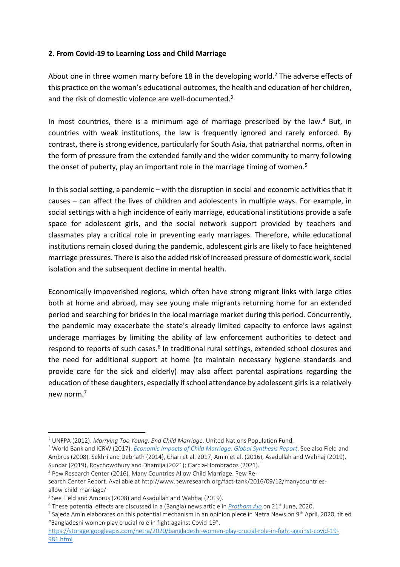# **2. From Covid-19 to Learning Loss and Child Marriage**

About one in three women marry before 18 in the developing world.<sup>2</sup> The adverse effects of this practice on the woman's educational outcomes, the health and education of her children, and the risk of domestic violence are well-documented.<sup>3</sup>

In most countries, there is a minimum age of marriage prescribed by the law. $4$  But, in countries with weak institutions, the law is frequently ignored and rarely enforced. By contrast, there is strong evidence, particularly for South Asia, that patriarchal norms, often in the form of pressure from the extended family and the wider community to marry following the onset of puberty, play an important role in the marriage timing of women.<sup>5</sup>

In this social setting, a pandemic – with the disruption in social and economic activities that it causes – can affect the lives of children and adolescents in multiple ways. For example, in social settings with a high incidence of early marriage, educational institutions provide a safe space for adolescent girls, and the social network support provided by teachers and classmates play a critical role in preventing early marriages. Therefore, while educational institutions remain closed during the pandemic, adolescent girls are likely to face heightened marriage pressures. There is also the added risk of increased pressure of domestic work, social isolation and the subsequent decline in mental health.

Economically impoverished regions, which often have strong migrant links with large cities both at home and abroad, may see young male migrants returning home for an extended period and searching for brides in the local marriage market during this period. Concurrently, the pandemic may exacerbate the state's already limited capacity to enforce laws against underage marriages by limiting the ability of law enforcement authorities to detect and respond to reports of such cases.<sup>6</sup> In traditional rural settings, extended school closures and the need for additional support at home (to maintain necessary hygiene standards and provide care for the sick and elderly) may also affect parental aspirations regarding the education of these daughters, especially if school attendance by adolescent girls is a relatively new norm  $<sup>7</sup>$ </sup>

<sup>2</sup> UNFPA (2012). *Marrying Too Young: End Child Marriage*. United Nations Population Fund.

<sup>3</sup> World Bank and ICRW (2017). *[Economic Impacts of Child Marriage: Global Synthesis Report](http://documents1.worldbank.org/curated/en/530891498511398503/pdf/116829-WP-P151842-PUBLIC-EICM-Global-Conference-Edition-June-27.pdf)*. See also Field and Ambrus (2008), Sekhri and Debnath (2014), Chari et al. 2017, Amin et al. (2016), Asadullah and Wahhaj (2019), Sundar (2019), Roychowdhury and Dhamija (2021); Garcia-Hombrados (2021).

<sup>4</sup> Pew Research Center (2016). Many Countries Allow Child Marriage. Pew Re-

search Center Report. Available at http://www.pewresearch.org/fact-tank/2016/09/12/manycountriesallow-child-marriage/

<sup>&</sup>lt;sup>5</sup> See Field and Ambrus (2008) and Asadullah and Wahhaj (2019).

<sup>6</sup> These potential effects are discussed in a (Bangla) news article in *[Prothom Alo](https://www.prothomalo.com/we-are/article/1664063/%E0%A6%95%E0%A6%B0%E0%A7%87%E0%A6%BE%E0%A6%A8%E0%A6%BE%E0%A6%95%E0%A6%BE%E0%A6%B2%E0%A7%87-%E0%A6%AC%E0%A6%BE%E0%A7%9C%E0%A6%9B%E0%A7%87-%E0%A6%AC%E0%A6%BE%E0%A6%B2%E0%A7%8D%E0%A6%AF%E0%A6%AC%E0%A6%BF%E0%A6%AC%E0%A6%BE%E0%A6%B9)* on 21st June, 2020.

<sup>&</sup>lt;sup>7</sup> Sajeda Amin elaborates on this potential mechanism in an opinion piece in Netra News on 9<sup>th</sup> April, 2020, titled "Bangladeshi women play crucial role in fight against Covid-19".

[https://storage.googleapis.com/netra/2020/bangladeshi-women-play-crucial-role-in-fight-against-covid-19-](https://storage.googleapis.com/netra/2020/bangladeshi-women-play-crucial-role-in-fight-against-covid-19-981.html) [981.html](https://storage.googleapis.com/netra/2020/bangladeshi-women-play-crucial-role-in-fight-against-covid-19-981.html)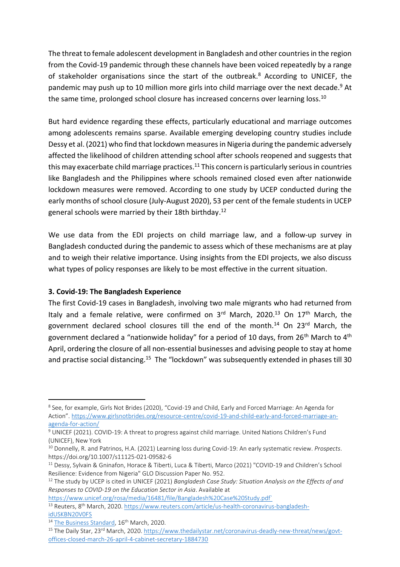The threat to female adolescent development in Bangladesh and other countries in the region from the Covid-19 pandemic through these channels have been voiced repeatedly by a range of stakeholder organisations since the start of the outbreak.<sup>8</sup> According to UNICEF, the pandemic may push up to 10 million more girls into child marriage over the next decade.<sup>9</sup> At the same time, prolonged school closure has increased concerns over learning loss.<sup>10</sup>

But hard evidence regarding these effects, particularly educational and marriage outcomes among adolescents remains sparse. Available emerging developing country studies include Dessy et al. (2021) who find that lockdown measures in Nigeria during the pandemic adversely affected the likelihood of children attending school after schools reopened and suggests that this may exacerbate child marriage practices. $^{11}$  This concern is particularly serious in countries like Bangladesh and the Philippines where schools remained closed even after nationwide lockdown measures were removed. According to one study by UCEP conducted during the early months of school closure (July-August 2020), 53 per cent of the female students in UCEP general schools were married by their 18th birthday. 12

We use data from the EDI projects on child marriage law, and a follow-up survey in Bangladesh conducted during the pandemic to assess which of these mechanisms are at play and to weigh their relative importance. Using insights from the EDI projects, we also discuss what types of policy responses are likely to be most effective in the current situation.

# **3. Covid-19: The Bangladesh Experience**

The first Covid-19 cases in Bangladesh, involving two male migrants who had returned from Italy and a female relative, were confirmed on  $3<sup>rd</sup>$  March, 2020.<sup>13</sup> On 17<sup>th</sup> March, the government declared school closures till the end of the month.<sup>14</sup> On 23<sup>rd</sup> March, the government declared a "nationwide holiday" for a period of 10 days, from 26<sup>th</sup> March to 4<sup>th</sup> April, ordering the closure of all non-essential businesses and advising people to stay at home and practise social distancing.<sup>15</sup> The "lockdown" was subsequently extended in phases till 30

[https://www.unicef.org/rosa/media/16481/file/Bangladesh%20Case%20Study.pdf`](https://www.unicef.org/rosa/media/16481/file/Bangladesh%20Case%20Study.pdf%60) <sup>13</sup> Reuters, 8<sup>th</sup> March, 2020. [https://www.reuters.com/article/us-health-coronavirus-bangladesh](https://www.reuters.com/article/us-health-coronavirus-bangladesh-idUSKBN20V0FS)[idUSKBN20V0FS](https://www.reuters.com/article/us-health-coronavirus-bangladesh-idUSKBN20V0FS)

<sup>8</sup> See, for example, Girls Not Brides (2020), "Covid-19 and Child, Early and Forced Marriage: An Agenda for Action". [https://www.girlsnotbrides.org/resource-centre/covid-19-and-child-early-and-forced-marriage-an](https://www.girlsnotbrides.org/resource-centre/covid-19-and-child-early-and-forced-marriage-an-agenda-for-action/)[agenda-for-action/](https://www.girlsnotbrides.org/resource-centre/covid-19-and-child-early-and-forced-marriage-an-agenda-for-action/)

<sup>9</sup> UNICEF (2021). COVID-19: A threat to progress against child marriage. United Nations Children's Fund (UNICEF), New York

<sup>10</sup> Donnelly, R. and Patrinos, H.A. (2021) Learning loss during Covid-19: An early systematic review. *Prospects*. https://doi.org/10.1007/s11125-021-09582-6

<sup>&</sup>lt;sup>11</sup> Dessy, Sylvain & Gninafon, Horace & Tiberti, Luca & Tiberti, Marco (2021) "COVID-19 and Children's School Resilience: Evidence from Nigeria" GLO Discussion Paper No. 952.

<sup>12</sup> The study by UCEP is cited in UNICEF (2021) *Bangladesh Case Study: Situation Analysis on the Effects of and Responses to COVID-19 on the Education Sector in Asia*. Available at

<sup>&</sup>lt;sup>14</sup> [The Business Standard,](https://www.aa.com.tr/en/asia-pacific/covid-19-bangladesh-shuts-all-educational-institutions/1767425) 16<sup>th</sup> March, 2020.

<sup>&</sup>lt;sup>15</sup> The Daily Star, 23<sup>rd</sup> March, 2020. [https://www.thedailystar.net/coronavirus-deadly-new-threat/news/govt](https://www.thedailystar.net/coronavirus-deadly-new-threat/news/govt-offices-closed-march-26-april-4-cabinet-secretary-1884730)[offices-closed-march-26-april-4-cabinet-secretary-1884730](https://www.thedailystar.net/coronavirus-deadly-new-threat/news/govt-offices-closed-march-26-april-4-cabinet-secretary-1884730)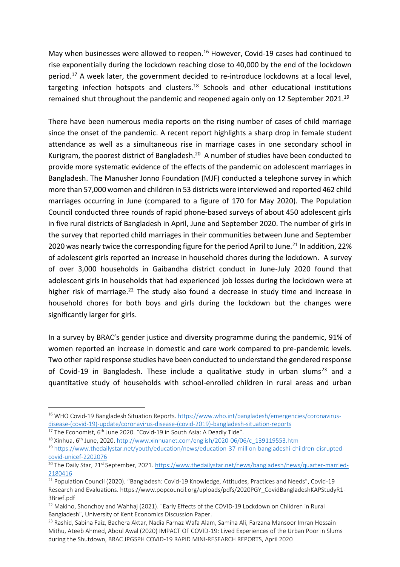May when businesses were allowed to reopen.<sup>16</sup> However, Covid-19 cases had continued to rise exponentially during the lockdown reaching close to 40,000 by the end of the lockdown period.<sup>17</sup> A week later, the government decided to re-introduce lockdowns at a local level, targeting infection hotspots and clusters.<sup>18</sup> Schools and other educational institutions remained shut throughout the pandemic and reopened again only on 12 September 2021.<sup>19</sup>

There have been numerous media reports on the rising number of cases of child marriage since the onset of the pandemic. A recent report highlights a sharp drop in female student attendance as well as a simultaneous rise in marriage cases in one secondary school in Kurigram, the poorest district of Bangladesh.<sup>20</sup> A number of studies have been conducted to provide more systematic evidence of the effects of the pandemic on adolescent marriages in Bangladesh. The Manusher Jonno Foundation (MJF) conducted a telephone survey in which more than 57,000 women and children in 53 districts were interviewed and reported 462 child marriages occurring in June (compared to a figure of 170 for May 2020). The Population Council conducted three rounds of rapid phone-based surveys of about 450 adolescent girls in five rural districts of Bangladesh in April, June and September 2020. The number of girls in the survey that reported child marriages in their communities between June and September 2020 was nearly twice the corresponding figure for the period April to June.<sup>21</sup> In addition, 22% of adolescent girls reported an increase in household chores during the lockdown. A survey of over 3,000 households in Gaibandha district conduct in June-July 2020 found that adolescent girls in households that had experienced job losses during the lockdown were at higher risk of marriage.<sup>22</sup> The study also found a decrease in study time and increase in household chores for both boys and girls during the lockdown but the changes were significantly larger for girls.

In a survey by BRAC's gender justice and diversity programme during the pandemic, 91% of women reported an increase in domestic and care work compared to pre-pandemic levels. Two other rapid response studies have been conducted to understand the gendered response of Covid-19 in Bangladesh. These include a qualitative study in urban slums<sup>23</sup> and a quantitative study of households with school-enrolled children in rural areas and urban

<sup>16</sup> WHO Covid-19 Bangladesh Situation Reports[. https://www.who.int/bangladesh/emergencies/coronavirus](https://www.who.int/bangladesh/emergencies/coronavirus-disease-(covid-19)-update/coronavirus-disease-(covid-2019)-bangladesh-situation-reports)[disease-\(covid-19\)-update/coronavirus-disease-\(covid-2019\)-bangladesh-situation-reports](https://www.who.int/bangladesh/emergencies/coronavirus-disease-(covid-19)-update/coronavirus-disease-(covid-2019)-bangladesh-situation-reports)

 $17$  The Economist, 6<sup>th</sup> June 2020. "Covid-19 in South Asia: A Deadly Tide".

<sup>18</sup> Xinhua, 6th June, 2020. [http://www.xinhuanet.com/english/2020-06/06/c\\_139119553.htm](http://www.xinhuanet.com/english/2020-06/06/c_139119553.htm)

<sup>19</sup> [https://www.thedailystar.net/youth/education/news/education-37-million-bangladeshi-children-disrupted](https://www.thedailystar.net/youth/education/news/education-37-million-bangladeshi-children-disrupted-covid-unicef-2202076)[covid-unicef-2202076](https://www.thedailystar.net/youth/education/news/education-37-million-bangladeshi-children-disrupted-covid-unicef-2202076)

<sup>&</sup>lt;sup>20</sup> The Daily Star, 21<sup>st</sup> September, 2021. [https://www.thedailystar.net/news/bangladesh/news/quarter-married-](https://www.thedailystar.net/news/bangladesh/news/quarter-married-2180416)[2180416](https://www.thedailystar.net/news/bangladesh/news/quarter-married-2180416)

<sup>&</sup>lt;sup>21</sup> Population Council (2020). "Bangladesh: Covid-19 Knowledge, Attitudes, Practices and Needs", Covid-19 Research and Evaluations. https://www.popcouncil.org/uploads/pdfs/2020PGY\_CovidBangladeshKAPStudyR1- 3Brief.pdf

<sup>&</sup>lt;sup>22</sup> Makino, Shonchoy and Wahhaj (2021). "Early Effects of the COVID-19 Lockdown on Children in Rural Bangladesh", University of Kent Economics Discussion Paper.

<sup>&</sup>lt;sup>23</sup> Rashid, Sabina Faiz, Bachera Aktar, Nadia Farnaz Wafa Alam, Samiha Ali, Farzana Mansoor Imran Hossain Mithu, Ateeb Ahmed, Abdul Awal (2020) IMPACT OF COVID-19: Lived Experiences of the Urban Poor in Slums during the Shutdown, BRAC JPGSPH COVID-19 RAPID MINI-RESEARCH REPORTS, April 2020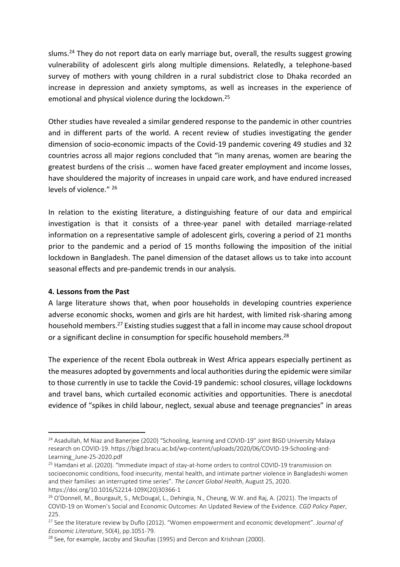slums.<sup>24</sup> They do not report data on early marriage but, overall, the results suggest growing vulnerability of adolescent girls along multiple dimensions. Relatedly, a telephone-based survey of mothers with young children in a rural subdistrict close to Dhaka recorded an increase in depression and anxiety symptoms, as well as increases in the experience of emotional and physical violence during the lockdown.<sup>25</sup>

Other studies have revealed a similar gendered response to the pandemic in other countries and in different parts of the world. A recent review of studies investigating the gender dimension of socio-economic impacts of the Covid-19 pandemic covering 49 studies and 32 countries across all major regions concluded that "in many arenas, women are bearing the greatest burdens of the crisis … women have faced greater employment and income losses, have shouldered the majority of increases in unpaid care work, and have endured increased levels of violence." <sup>26</sup>

In relation to the existing literature, a distinguishing feature of our data and empirical investigation is that it consists of a three-year panel with detailed marriage-related information on a representative sample of adolescent girls, covering a period of 21 months prior to the pandemic and a period of 15 months following the imposition of the initial lockdown in Bangladesh. The panel dimension of the dataset allows us to take into account seasonal effects and pre-pandemic trends in our analysis.

#### **4. Lessons from the Past**

A large literature shows that, when poor households in developing countries experience adverse economic shocks, women and girls are hit hardest, with limited risk-sharing among household members.<sup>27</sup> Existing studies suggest that a fall in income may cause school dropout or a significant decline in consumption for specific household members.<sup>28</sup>

The experience of the recent Ebola outbreak in West Africa appears especially pertinent as the measures adopted by governments and local authorities during the epidemic were similar to those currently in use to tackle the Covid-19 pandemic: school closures, village lockdowns and travel bans, which curtailed economic activities and opportunities. There is anecdotal evidence of "spikes in child labour, neglect, sexual abuse and teenage pregnancies" in areas

<sup>&</sup>lt;sup>24</sup> Asadullah, M Niaz and Baneriee (2020) "Schooling, learning and COVID-19" Joint BIGD University Malaya research on COVID-19. https://bigd.bracu.ac.bd/wp-content/uploads/2020/06/COVID-19-Schooling-and-Learning\_June-25-2020.pdf

<sup>&</sup>lt;sup>25</sup> Hamdani et al. (2020). "Immediate impact of stay-at-home orders to control COVID-19 transmission on socioeconomic conditions, food insecurity, mental health, and intimate partner violence in Bangladeshi women and their families: an interrupted time series". *The Lancet Global Health*, August 25, 2020. https://doi.org/10.1016/S2214-109X(20)30366-1

<sup>&</sup>lt;sup>26</sup> O'Donnell, M., Bourgault, S., McDougal, L., Dehingia, N., Cheung, W.W. and Raj, A. (2021). The Impacts of COVID-19 on Women's Social and Economic Outcomes: An Updated Review of the Evidence. *CGD Policy Paper*, 225.

<sup>27</sup> See the literature review by Duflo (2012). "Women empowerment and economic development". *Journal of Economic Literature*, 50(4), pp.1051-79.

 $28$  See, for example, Jacoby and Skoufias (1995) and Dercon and Krishnan (2000).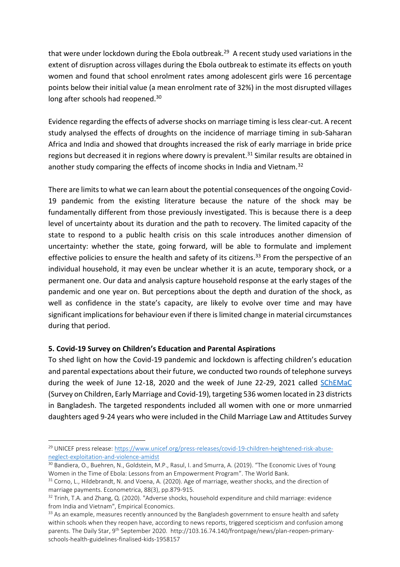that were under lockdown during the Ebola outbreak. <sup>29</sup> A recent study used variations in the extent of disruption across villages during the Ebola outbreak to estimate its effects on youth women and found that school enrolment rates among adolescent girls were 16 percentage points below their initial value (a mean enrolment rate of 32%) in the most disrupted villages long after schools had reopened.<sup>30</sup>

Evidence regarding the effects of adverse shocks on marriage timing is less clear-cut. A recent study analysed the effects of droughts on the incidence of marriage timing in sub-Saharan Africa and India and showed that droughts increased the risk of early marriage in bride price regions but decreased it in regions where dowry is prevalent.<sup>31</sup> Similar results are obtained in another study comparing the effects of income shocks in India and Vietnam.<sup>32</sup>

There are limits to what we can learn about the potential consequences of the ongoing Covid-19 pandemic from the existing literature because the nature of the shock may be fundamentally different from those previously investigated. This is because there is a deep level of uncertainty about its duration and the path to recovery. The limited capacity of the state to respond to a public health crisis on this scale introduces another dimension of uncertainty: whether the state, going forward, will be able to formulate and implement effective policies to ensure the health and safety of its citizens.<sup>33</sup> From the perspective of an individual household, it may even be unclear whether it is an acute, temporary shock, or a permanent one. Our data and analysis capture household response at the early stages of the pandemic and one year on. But perceptions about the depth and duration of the shock, as well as confidence in the state's capacity, are likely to evolve over time and may have significant implications for behaviour even if there is limited change in material circumstances during that period.

# **5. Covid-19 Survey on Children's Education and Parental Aspirations**

To shed light on how the Covid-19 pandemic and lockdown is affecting children's education and parental expectations about their future, we conducted two rounds of telephone surveys during the week of June 12-18, 2020 and the week of June 22-29, 2021 called [SChEMaC](https://www.integgra.org/cms/index.php/research-design/2020-schemac) (Survey on Children, Early Marriage and Covid-19), targeting 536 women located in 23 districts in Bangladesh. The targeted respondents included all women with one or more unmarried daughters aged 9-24 years who were included in the Child Marriage Law and Attitudes Survey

<sup>&</sup>lt;sup>29</sup> UNICEF press release: [https://www.unicef.org/press-releases/covid-19-children-heightened-risk-abuse](https://www.unicef.org/press-releases/covid-19-children-heightened-risk-abuse-neglect-exploitation-and-violence-amidst)[neglect-exploitation-and-violence-amidst](https://www.unicef.org/press-releases/covid-19-children-heightened-risk-abuse-neglect-exploitation-and-violence-amidst)

<sup>&</sup>lt;sup>30</sup> Bandiera, O., Buehren, N., Goldstein, M.P., Rasul, I. and Smurra, A. (2019). "The Economic Lives of Young Women in the Time of Ebola: Lessons from an Empowerment Program". The World Bank.

<sup>&</sup>lt;sup>31</sup> Corno, L., Hildebrandt, N. and Voena, A. (2020). Age of marriage, weather shocks, and the direction of marriage payments. Econometrica, 88(3), pp.879-915.

 $32$  Trinh, T.A. and Zhang, Q. (2020). "Adverse shocks, household expenditure and child marriage: evidence from India and Vietnam", Empirical Economics.

<sup>&</sup>lt;sup>33</sup> As an example, measures recently announced by the Bangladesh government to ensure health and safety within schools when they reopen have, according to news reports, triggered scepticism and confusion among parents. The Daily Star, 9<sup>th</sup> September 2020. http://103.16.74.140/frontpage/news/plan-reopen-primaryschools-health-guidelines-finalised-kids-1958157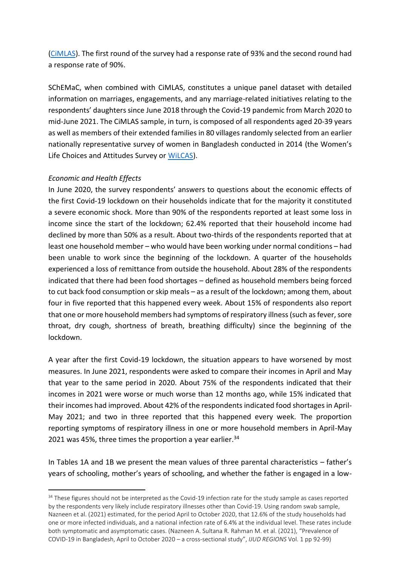[\(CiMLAS\)](https://www.integgra.org/cms/index.php/research-design/2018-cimlas). The first round of the survey had a response rate of 93% and the second round had a response rate of 90%.

SChEMaC, when combined with CiMLAS, constitutes a unique panel dataset with detailed information on marriages, engagements, and any marriage-related initiatives relating to the respondents' daughters since June 2018 through the Covid-19 pandemic from March 2020 to mid-June 2021. The CiMLAS sample, in turn, is composed of all respondents aged 20-39 years as well as members of their extended families in 80 villages randomly selected from an earlier nationally representative survey of women in Bangladesh conducted in 2014 (the Women's Life Choices and Attitudes Survey or [WiLCAS\)](https://www.integgra.org/cms/index.php/research-design/2014-wilcas).

#### *Economic and Health Effects*

In June 2020, the survey respondents' answers to questions about the economic effects of the first Covid-19 lockdown on their households indicate that for the majority it constituted a severe economic shock. More than 90% of the respondents reported at least some loss in income since the start of the lockdown; 62.4% reported that their household income had declined by more than 50% as a result. About two-thirds of the respondents reported that at least one household member – who would have been working under normal conditions – had been unable to work since the beginning of the lockdown. A quarter of the households experienced a loss of remittance from outside the household. About 28% of the respondents indicated that there had been food shortages – defined as household members being forced to cut back food consumption or skip meals – as a result of the lockdown; among them, about four in five reported that this happened every week. About 15% of respondents also report that one or more household members had symptoms of respiratory illness (such as fever, sore throat, dry cough, shortness of breath, breathing difficulty) since the beginning of the lockdown.

A year after the first Covid-19 lockdown, the situation appears to have worsened by most measures. In June 2021, respondents were asked to compare their incomes in April and May that year to the same period in 2020. About 75% of the respondents indicated that their incomes in 2021 were worse or much worse than 12 months ago, while 15% indicated that their incomes had improved. About 42% of the respondents indicated food shortages in April-May 2021; and two in three reported that this happened every week. The proportion reporting symptoms of respiratory illness in one or more household members in April-May 2021 was 45%, three times the proportion a year earlier. $34$ 

In Tables 1A and 1B we present the mean values of three parental characteristics – father's years of schooling, mother's years of schooling, and whether the father is engaged in a low-

<sup>&</sup>lt;sup>34</sup> These figures should not be interpreted as the Covid-19 infection rate for the study sample as cases reported by the respondents very likely include respiratory illnesses other than Covid-19. Using random swab sample, Nazneen et al. (2021) estimated, for the period April to October 2020, that 12.6% of the study households had one or more infected individuals, and a national infection rate of 6.4% at the individual level. These rates include both symptomatic and asymptomatic cases. (Nazneen A. Sultana R. Rahman M. et al. (2021), "Prevalence of COVID-19 in Bangladesh, April to October 2020 – a cross-sectional study", *IJUD REGIONS* Vol. 1 pp 92-99)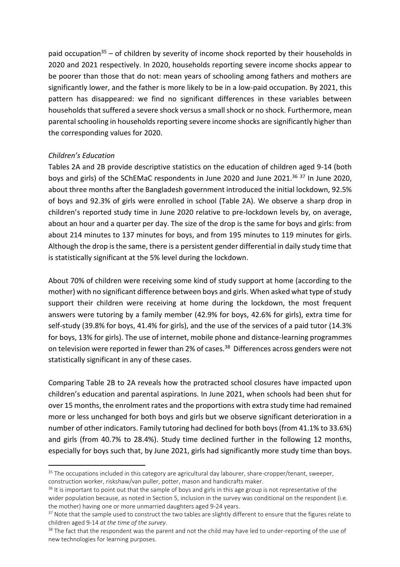paid occupation<sup>35</sup> – of children by severity of income shock reported by their households in 2020 and 2021 respectively. In 2020, households reporting severe income shocks appear to be poorer than those that do not: mean years of schooling among fathers and mothers are significantly lower, and the father is more likely to be in a low-paid occupation. By 2021, this pattern has disappeared: we find no significant differences in these variables between households that suffered a severe shock versus a small shock or no shock. Furthermore, mean parental schooling in households reporting severe income shocks are significantly higher than the corresponding values for 2020.

#### *Children's Education*

Tables 2A and 2B provide descriptive statistics on the education of children aged 9-14 (both boys and girls) of the SChEMaC respondents in June 2020 and June 2021. <sup>36</sup> <sup>37</sup> In June 2020, about three months after the Bangladesh government introduced the initial lockdown, 92.5% of boys and 92.3% of girls were enrolled in school (Table 2A). We observe a sharp drop in children's reported study time in June 2020 relative to pre-lockdown levels by, on average, about an hour and a quarter per day. The size of the drop is the same for boys and girls: from about 214 minutes to 137 minutes for boys, and from 195 minutes to 119 minutes for girls. Although the drop is the same, there is a persistent gender differential in daily study time that is statistically significant at the 5% level during the lockdown.

About 70% of children were receiving some kind of study support at home (according to the mother) with no significant difference between boys and girls. When asked what type of study support their children were receiving at home during the lockdown, the most frequent answers were tutoring by a family member (42.9% for boys, 42.6% for girls), extra time for self-study (39.8% for boys, 41.4% for girls), and the use of the services of a paid tutor (14.3% for boys, 13% for girls). The use of internet, mobile phone and distance-learning programmes on television were reported in fewer than 2% of cases.<sup>38</sup> Differences across genders were not statistically significant in any of these cases.

Comparing Table 2B to 2A reveals how the protracted school closures have impacted upon children's education and parental aspirations. In June 2021, when schools had been shut for over 15 months, the enrolment rates and the proportions with extra study time had remained more or less unchanged for both boys and girls but we observe significant deterioration in a number of other indicators. Family tutoring had declined for both boys (from 41.1% to 33.6%) and girls (from 40.7% to 28.4%). Study time declined further in the following 12 months, especially for boys such that, by June 2021, girls had significantly more study time than boys.

<sup>&</sup>lt;sup>35</sup> The occupations included in this category are agricultural day labourer, share-cropper/tenant, sweeper, construction worker, riskshaw/van puller, potter, mason and handicrafts maker.

<sup>&</sup>lt;sup>36</sup> It is important to point out that the sample of boys and girls in this age group is not representative of the wider population because, as noted in Section 5, inclusion in the survey was conditional on the respondent (i.e. the mother) having one or more unmarried daughters aged 9-24 years.

<sup>&</sup>lt;sup>37</sup> Note that the sample used to construct the two tables are slightly different to ensure that the figures relate to children aged 9-14 *at the time of the survey*.

<sup>&</sup>lt;sup>38</sup> The fact that the respondent was the parent and not the child may have led to under-reporting of the use of new technologies for learning purposes.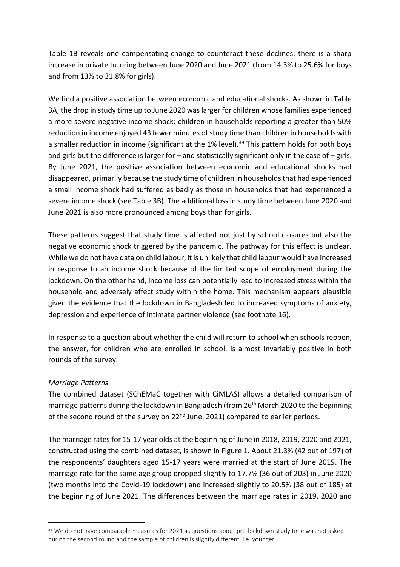Table 1B reveals one compensating change to counteract these declines: there is a sharp increase in private tutoring between June 2020 and June 2021 (from 14.3% to 25.6% for boys and from 13% to 31.8% for girls).

We find a positive association between economic and educational shocks. As shown in Table 3A, the drop in study time up to June 2020 was larger for children whose families experienced a more severe negative income shock: children in households reporting a greater than 50% reduction in income enjoyed 43 fewer minutes of study time than children in households with a smaller reduction in income (significant at the 1% level).<sup>39</sup> This pattern holds for both boys and girls but the difference is larger for – and statistically significant only in the case of – girls. By June 2021, the positive association between economic and educational shocks had disappeared, primarily because the study time of children in households that had experienced a small income shock had suffered as badly as those in households that had experienced a severe income shock (see Table 3B). The additional loss in study time between June 2020 and June 2021 is also more pronounced among boys than for girls.

These patterns suggest that study time is affected not just by school closures but also the negative economic shock triggered by the pandemic. The pathway for this effect is unclear. While we do not have data on child labour, it is unlikely that child labour would have increased in response to an income shock because of the limited scope of employment during the lockdown. On the other hand, income loss can potentially lead to increased stress within the household and adversely affect study within the home. This mechanism appears plausible given the evidence that the lockdown in Bangladesh led to increased symptoms of anxiety, depression and experience of intimate partner violence (see footnote 16).

In response to a question about whether the child will return to school when schools reopen, the answer, for children who are enrolled in school, is almost invariably positive in both rounds of the survey.

# *Marriage Patterns*

The combined dataset (SChEMaC together with CiMLAS) allows a detailed comparison of marriage patterns during the lockdown in Bangladesh (from 26<sup>th</sup> March 2020 to the beginning of the second round of the survey on 22<sup>nd</sup> June, 2021) compared to earlier periods.

The marriage rates for 15-17 year olds at the beginning of June in 2018, 2019, 2020 and 2021, constructed using the combined dataset, is shown in Figure 1. About 21.3% (42 out of 197) of the respondents' daughters aged 15-17 years were married at the start of June 2019. The marriage rate for the same age group dropped slightly to 17.7% (36 out of 203) in June 2020 (two months into the Covid-19 lockdown) and increased slightly to 20.5% (38 out of 185) at the beginning of June 2021. The differences between the marriage rates in 2019, 2020 and

<sup>&</sup>lt;sup>39</sup> We do not have comparable measures for 2021 as questions about pre-lockdown study time was not asked during the second round and the sample of children is slightly different, i.e. younger.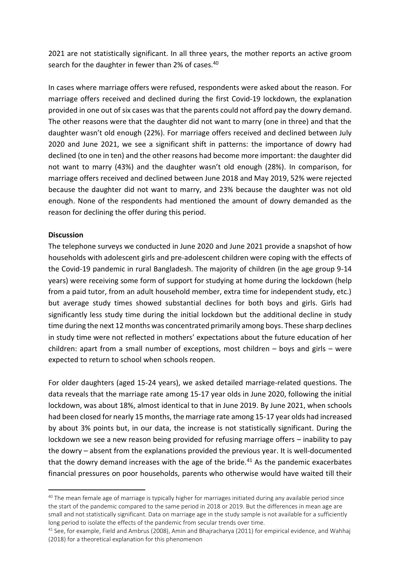2021 are not statistically significant. In all three years, the mother reports an active groom search for the daughter in fewer than 2% of cases.<sup>40</sup>

In cases where marriage offers were refused, respondents were asked about the reason. For marriage offers received and declined during the first Covid-19 lockdown, the explanation provided in one out of six cases was that the parents could not afford pay the dowry demand. The other reasons were that the daughter did not want to marry (one in three) and that the daughter wasn't old enough (22%). For marriage offers received and declined between July 2020 and June 2021, we see a significant shift in patterns: the importance of dowry had declined (to one in ten) and the other reasons had become more important: the daughter did not want to marry (43%) and the daughter wasn't old enough (28%). In comparison, for marriage offers received and declined between June 2018 and May 2019, 52% were rejected because the daughter did not want to marry, and 23% because the daughter was not old enough. None of the respondents had mentioned the amount of dowry demanded as the reason for declining the offer during this period.

#### **Discussion**

The telephone surveys we conducted in June 2020 and June 2021 provide a snapshot of how households with adolescent girls and pre-adolescent children were coping with the effects of the Covid-19 pandemic in rural Bangladesh. The majority of children (in the age group 9-14 years) were receiving some form of support for studying at home during the lockdown (help from a paid tutor, from an adult household member, extra time for independent study, etc.) but average study times showed substantial declines for both boys and girls. Girls had significantly less study time during the initial lockdown but the additional decline in study time during the next 12 months was concentrated primarily among boys. These sharp declines in study time were not reflected in mothers' expectations about the future education of her children: apart from a small number of exceptions, most children – boys and girls – were expected to return to school when schools reopen.

For older daughters (aged 15-24 years), we asked detailed marriage-related questions. The data reveals that the marriage rate among 15-17 year olds in June 2020, following the initial lockdown, was about 18%, almost identical to that in June 2019. By June 2021, when schools had been closed for nearly 15 months, the marriage rate among 15-17 year olds had increased by about 3% points but, in our data, the increase is not statistically significant. During the lockdown we see a new reason being provided for refusing marriage offers – inability to pay the dowry – absent from the explanations provided the previous year. It is well-documented that the dowry demand increases with the age of the bride.<sup>41</sup> As the pandemic exacerbates financial pressures on poor households, parents who otherwise would have waited till their

<sup>&</sup>lt;sup>40</sup> The mean female age of marriage is typically higher for marriages initiated during any available period since the start of the pandemic compared to the same period in 2018 or 2019. But the differences in mean age are small and not statistically significant. Data on marriage age in the study sample is not available for a sufficiently long period to isolate the effects of the pandemic from secular trends over time.

<sup>&</sup>lt;sup>41</sup> See, for example, Field and Ambrus (2008), Amin and Bhajracharya (2011) for empirical evidence, and Wahhaj (2018) for a theoretical explanation for this phenomenon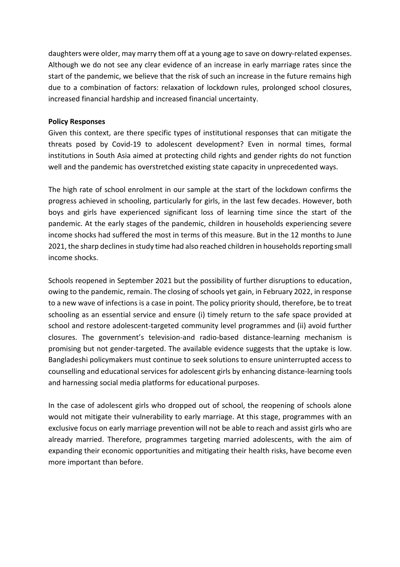daughters were older, may marry them off at a young age to save on dowry-related expenses. Although we do not see any clear evidence of an increase in early marriage rates since the start of the pandemic, we believe that the risk of such an increase in the future remains high due to a combination of factors: relaxation of lockdown rules, prolonged school closures, increased financial hardship and increased financial uncertainty.

#### **Policy Responses**

Given this context, are there specific types of institutional responses that can mitigate the threats posed by Covid-19 to adolescent development? Even in normal times, formal institutions in South Asia aimed at protecting child rights and gender rights do not function well and the pandemic has overstretched existing state capacity in unprecedented ways.

The high rate of school enrolment in our sample at the start of the lockdown confirms the progress achieved in schooling, particularly for girls, in the last few decades. However, both boys and girls have experienced significant loss of learning time since the start of the pandemic. At the early stages of the pandemic, children in households experiencing severe income shocks had suffered the most in terms of this measure. But in the 12 months to June 2021, the sharp declines in study time had also reached children in households reporting small income shocks.

Schools reopened in September 2021 but the possibility of further disruptions to education, owing to the pandemic, remain. The closing of schools yet gain, in February 2022, in response to a new wave of infections is a case in point. The policy priority should, therefore, be to treat schooling as an essential service and ensure (i) timely return to the safe space provided at school and restore adolescent-targeted community level programmes and (ii) avoid further closures. The government's television-and radio-based distance-learning mechanism is promising but not gender-targeted. The available evidence suggests that the uptake is low. Bangladeshi policymakers must continue to seek solutions to ensure uninterrupted access to counselling and educational services for adolescent girls by enhancing distance-learning tools and harnessing social media platforms for educational purposes.

In the case of adolescent girls who dropped out of school, the reopening of schools alone would not mitigate their vulnerability to early marriage. At this stage, programmes with an exclusive focus on early marriage prevention will not be able to reach and assist girls who are already married. Therefore, programmes targeting married adolescents, with the aim of expanding their economic opportunities and mitigating their health risks, have become even more important than before.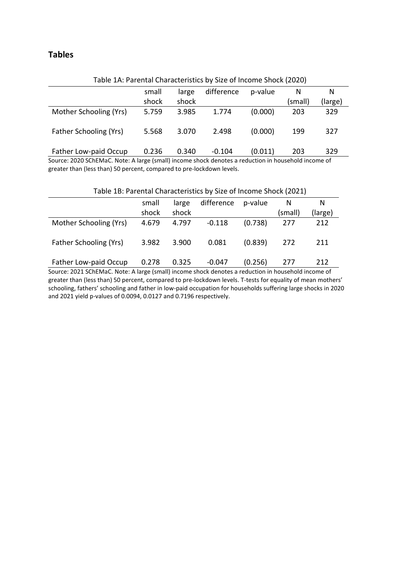# **Tables**

| Table IA. Parellital Characteristics by Size of Intonne Shock (2020) |       |       |            |         |         |         |
|----------------------------------------------------------------------|-------|-------|------------|---------|---------|---------|
|                                                                      | small | large | difference | p-value | N       | N       |
|                                                                      | shock | shock |            |         | (small) | (large) |
| Mother Schooling (Yrs)                                               | 5.759 | 3.985 | 1.774      | (0.000) | 203     | 329     |
| <b>Father Schooling (Yrs)</b>                                        | 5.568 | 3.070 | 2.498      | (0.000) | 199     | 327     |
| Father Low-paid Occup                                                | 0.236 | 0.340 | $-0.104$   | (0.011) | 203     | 329     |

Table 1A: Parental Characteristics by Size of Income Shock (2020)

Source: 2020 SChEMaC. Note: A large (small) income shock denotes a reduction in household income of greater than (less than) 50 percent, compared to pre-lockdown levels.

| Table 1B: Parental Characteristics by Size of Income Shock (2021) |       |       |            |         |         |         |  |
|-------------------------------------------------------------------|-------|-------|------------|---------|---------|---------|--|
|                                                                   | small | large | difference | p-value |         | N       |  |
|                                                                   | shock | shock |            |         | (small) | (large) |  |
| Mother Schooling (Yrs)                                            | 4.679 | 4.797 | $-0.118$   | (0.738) | 277     | 212     |  |
| Father Schooling (Yrs)                                            | 3.982 | 3.900 | 0.081      | (0.839) | 272     | 211     |  |
| Father Low-paid Occup                                             | 0.278 | 0.325 | $-0.047$   | (0.256) | 277     | 212     |  |

Source: 2021 SChEMaC. Note: A large (small) income shock denotes a reduction in household income of greater than (less than) 50 percent, compared to pre-lockdown levels. T-tests for equality of mean mothers' schooling, fathers' schooling and father in low-paid occupation for households suffering large shocks in 2020 and 2021 yield p-values of 0.0094, 0.0127 and 0.7196 respectively.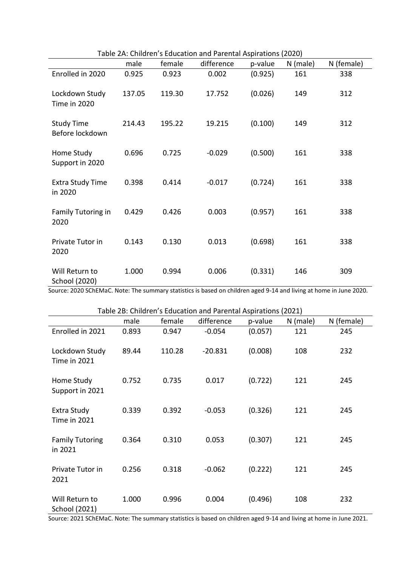| Table 2A: Children s Education and Parental Aspirations (2020) |        |        |            |         |          |            |
|----------------------------------------------------------------|--------|--------|------------|---------|----------|------------|
|                                                                | male   | female | difference | p-value | N (male) | N (female) |
| Enrolled in 2020                                               | 0.925  | 0.923  | 0.002      | (0.925) | 161      | 338        |
| Lockdown Study<br><b>Time in 2020</b>                          | 137.05 | 119.30 | 17.752     | (0.026) | 149      | 312        |
| <b>Study Time</b><br>Before lockdown                           | 214.43 | 195.22 | 19.215     | (0.100) | 149      | 312        |
| Home Study<br>Support in 2020                                  | 0.696  | 0.725  | $-0.029$   | (0.500) | 161      | 338        |
| <b>Extra Study Time</b><br>in 2020                             | 0.398  | 0.414  | $-0.017$   | (0.724) | 161      | 338        |
| Family Tutoring in<br>2020                                     | 0.429  | 0.426  | 0.003      | (0.957) | 161      | 338        |
| Private Tutor in<br>2020                                       | 0.143  | 0.130  | 0.013      | (0.698) | 161      | 338        |
| Will Return to<br>School (2020)                                | 1.000  | 0.994  | 0.006      | (0.331) | 146      | 309        |

Table 2A: Children's Education and Parental Aspirations (2020)

Source: 2020 SChEMaC. Note: The summary statistics is based on children aged 9-14 and living at home in June 2020.

Table 2B: Children's Education and Parental Aspirations (2021) male female difference p-value N (male) N (female) Enrolled in 2021 0.893 0.947 -0.054 (0.057) 121 245 Lockdown Study Time in 2021 89.44 110.28 -20.831 (0.008) 108 232 Home Study Support in 2021 0.752 0.735 0.017 (0.722) 121 245 Extra Study Time in 2021 0.339 0.392 -0.053 (0.326) 121 245 Family Tutoring in 2021 0.364 0.310 0.053 (0.307) 121 245 Private Tutor in 2021 0.256 0.318 -0.062 (0.222) 121 245 Will Return to School (2021) 1.000 0.996 0.004 (0.496) 108 232

Source: 2021 SChEMaC. Note: The summary statistics is based on children aged 9-14 and living at home in June 2021.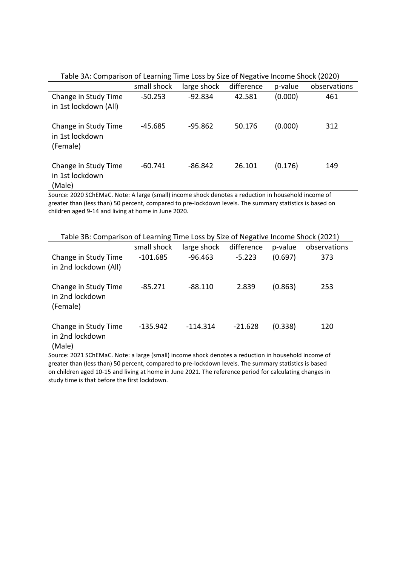| Table 3A: Comparison of Learning Time Loss by Size of Negative Income Shock (2020) |             |             |            |         |              |  |
|------------------------------------------------------------------------------------|-------------|-------------|------------|---------|--------------|--|
|                                                                                    | small shock | large shock | difference | p-value | observations |  |
| Change in Study Time<br>in 1st lockdown (All)                                      | $-50.253$   | $-92.834$   | 42.581     | (0.000) | 461          |  |
| Change in Study Time<br>in 1st lockdown<br>(Female)                                | -45.685     | $-95.862$   | 50.176     | (0.000) | 312          |  |
| Change in Study Time<br>in 1st lockdown<br>(Male)                                  | $-60.741$   | $-86.842$   | 26.101     | (0.176) | 149          |  |

Source: 2020 SChEMaC. Note: A large (small) income shock denotes a reduction in household income of greater than (less than) 50 percent, compared to pre-lockdown levels. The summary statistics is based on children aged 9-14 and living at home in June 2020.

| Table 3B: Comparison of Learning Time Loss by Size of Negative Income Shock (2021) |             |             |            |         |              |  |
|------------------------------------------------------------------------------------|-------------|-------------|------------|---------|--------------|--|
|                                                                                    | small shock | large shock | difference | p-value | observations |  |
| Change in Study Time<br>in 2nd lockdown (All)                                      | $-101.685$  | $-96.463$   | $-5.223$   | (0.697) | 373          |  |
| Change in Study Time<br>in 2nd lockdown<br>(Female)                                | $-85.271$   | $-88.110$   | 2.839      | (0.863) | 253          |  |
| Change in Study Time<br>in 2nd lockdown<br>(Male)                                  | $-135.942$  | $-114.314$  | $-21.628$  | (0.338) | 120          |  |

Source: 2021 SChEMaC. Note: a large (small) income shock denotes a reduction in household income of greater than (less than) 50 percent, compared to pre-lockdown levels. The summary statistics is based on children aged 10-15 and living at home in June 2021. The reference period for calculating changes in study time is that before the first lockdown.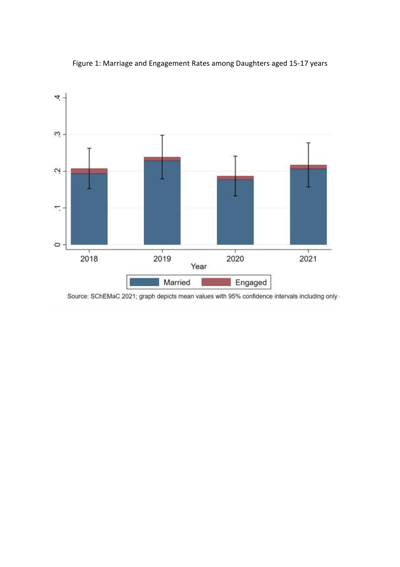

Figure 1: Marriage and Engagement Rates among Daughters aged 15-17 years